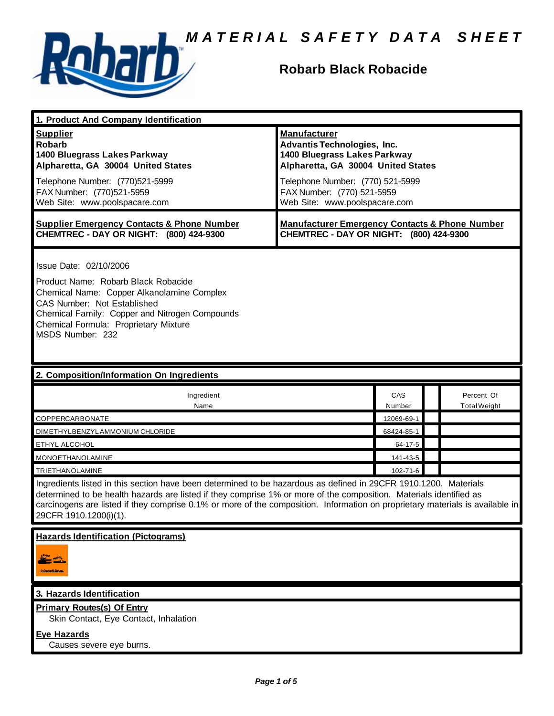

### **Robarb Black Robacide**

| 1. Product And Company Identification                                                                                                                                                                                                                                                                                                                                                             |                                                                                                                                                                                                                                    |            |                                   |  |
|---------------------------------------------------------------------------------------------------------------------------------------------------------------------------------------------------------------------------------------------------------------------------------------------------------------------------------------------------------------------------------------------------|------------------------------------------------------------------------------------------------------------------------------------------------------------------------------------------------------------------------------------|------------|-----------------------------------|--|
| <b>Supplier</b><br><b>Robarb</b><br>1400 Bluegrass Lakes Parkway<br>Alpharetta, GA 30004 United States<br>Telephone Number: (770)521-5999<br>FAX Number: (770)521-5959<br>Web Site: www.poolspacare.com                                                                                                                                                                                           | <b>Manufacturer</b><br><b>Advantis Technologies, Inc.</b><br>1400 Bluegrass Lakes Parkway<br>Alpharetta, GA 30004 United States<br>Telephone Number: (770) 521-5999<br>FAX Number: (770) 521-5959<br>Web Site: www.poolspacare.com |            |                                   |  |
| <b>Supplier Emergency Contacts &amp; Phone Number</b><br>CHEMTREC - DAY OR NIGHT: (800) 424-9300                                                                                                                                                                                                                                                                                                  | <b>Manufacturer Emergency Contacts &amp; Phone Number</b><br>CHEMTREC - DAY OR NIGHT: (800) 424-9300                                                                                                                               |            |                                   |  |
| Issue Date: 02/10/2006<br>Product Name: Robarb Black Robacide<br>Chemical Name: Copper Alkanolamine Complex<br>CAS Number: Not Established<br>Chemical Family: Copper and Nitrogen Compounds<br>Chemical Formula: Proprietary Mixture<br>MSDS Number: 232<br>2. Composition/Information On Ingredients                                                                                            |                                                                                                                                                                                                                                    |            |                                   |  |
|                                                                                                                                                                                                                                                                                                                                                                                                   |                                                                                                                                                                                                                                    |            |                                   |  |
| Ingredient<br>Name                                                                                                                                                                                                                                                                                                                                                                                | CAS<br>Number                                                                                                                                                                                                                      |            | Percent Of<br><b>Total Weight</b> |  |
| COPPERCARBONATE                                                                                                                                                                                                                                                                                                                                                                                   |                                                                                                                                                                                                                                    | 12069-69-1 |                                   |  |
| DIMETHYLBENZYLAMMONIUM CHLORIDE                                                                                                                                                                                                                                                                                                                                                                   |                                                                                                                                                                                                                                    | 68424-85-1 |                                   |  |
| ETHYL ALCOHOL                                                                                                                                                                                                                                                                                                                                                                                     | 64-17-5                                                                                                                                                                                                                            |            |                                   |  |
| <b>MONOETHANOLAMINE</b>                                                                                                                                                                                                                                                                                                                                                                           |                                                                                                                                                                                                                                    | 141-43-5   |                                   |  |
| <b>TRIETHANOLAMINE</b>                                                                                                                                                                                                                                                                                                                                                                            |                                                                                                                                                                                                                                    | 102-71-6   |                                   |  |
| Ingredients listed in this section have been determined to be hazardous as defined in 29CFR 1910.1200. Materials<br>determined to be health hazards are listed if they comprise 1% or more of the composition. Materials identified as<br>carcinogens are listed if they comprise 0.1% or more of the composition. Information on proprietary materials is available in<br>29CFR 1910.1200(i)(1). |                                                                                                                                                                                                                                    |            |                                   |  |
| <b>Hazards Identification (Pictograms)</b>                                                                                                                                                                                                                                                                                                                                                        |                                                                                                                                                                                                                                    |            |                                   |  |
| 3. Hazards Identification                                                                                                                                                                                                                                                                                                                                                                         |                                                                                                                                                                                                                                    |            |                                   |  |
| <b>Primary Routes(s) Of Entry</b><br>Skin Contact, Eye Contact, Inhalation<br><b>Eye Hazards</b><br>Causes severe eye burns.                                                                                                                                                                                                                                                                      |                                                                                                                                                                                                                                    |            |                                   |  |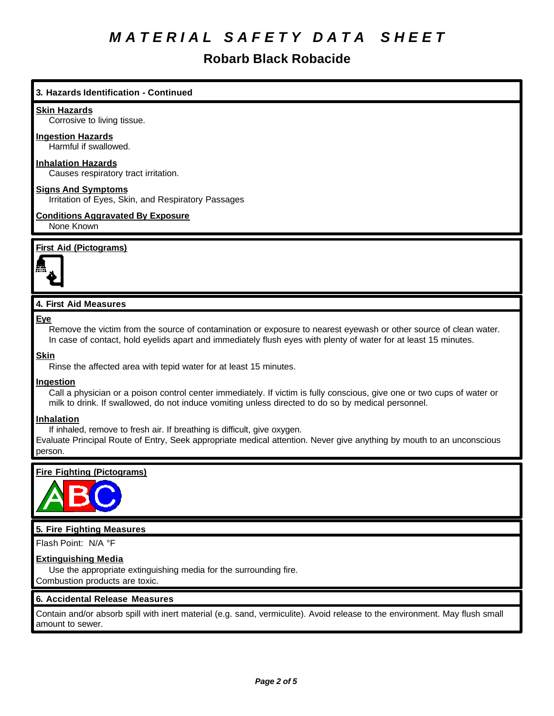## **Robarb Black Robacide**

### **3. Hazards Identification - Continued**

#### **Skin Hazards**

Corrosive to living tissue.

### **Ingestion Hazards**

Harmful if swallowed.

### **Inhalation Hazards**

Causes respiratory tract irritation.

#### **Signs And Symptoms**

Irritation of Eyes, Skin, and Respiratory Passages

#### **Conditions Aggravated By Exposure** None Known

#### **First Aid (Pictograms)**



#### **4. First Aid Measures**

**Eye**

Remove the victim from the source of contamination or exposure to nearest eyewash or other source of clean water. In case of contact, hold eyelids apart and immediately flush eyes with plenty of water for at least 15 minutes.

#### **Skin**

Rinse the affected area with tepid water for at least 15 minutes.

#### **Ingestion**

Call a physician or a poison control center immediately. If victim is fully conscious, give one or two cups of water or milk to drink. If swallowed, do not induce vomiting unless directed to do so by medical personnel.

#### **Inhalation**

If inhaled, remove to fresh air. If breathing is difficult, give oxygen.

Evaluate Principal Route of Entry, Seek appropriate medical attention. Never give anything by mouth to an unconscious person.

#### **Fire Fighting (Pictograms)**



#### **5. Fire Fighting Measures**

Flash Point: N/A °F

#### **Extinguishing Media**

Use the appropriate extinguishing media for the surrounding fire. Combustion products are toxic.

#### **6. Accidental Release Measures**

Contain and/or absorb spill with inert material (e.g. sand, vermiculite). Avoid release to the environment. May flush small amount to sewer.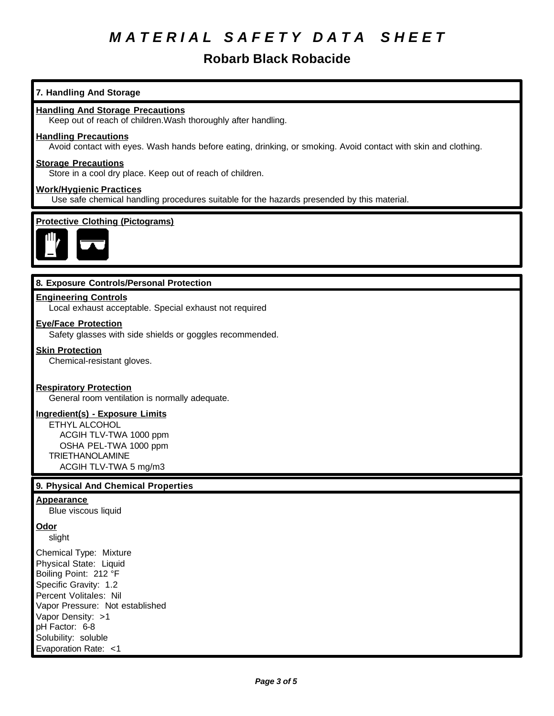### **Robarb Black Robacide**

## Keep out of reach of children.Wash thoroughly after handling. **Handling Precautions** Avoid contact with eyes. Wash hands before eating, drinking, or smoking. Avoid contact with skin and clothing. **Storage Precautions** Store in a cool dry place. Keep out of reach of children. **Work/Hygienic Practices** Use safe chemical handling procedures suitable for the hazards presended by this material. **Protective Clothing (Pictograms) 8. Exposure Controls/Personal Protection Engineering Controls** Local exhaust acceptable. Special exhaust not required **Eye/Face Protection** Safety glasses with side shields or goggles recommended. **Skin Protection** Chemical-resistant gloves. **Respiratory Protection** General room ventilation is normally adequate. **Ingredient(s) - Exposure Limits** ETHYL ALCOHOL ACGIH TLV-TWA 1000 ppm OSHA PEL-TWA 1000 ppm TRIETHANOLAMINE ACGIH TLV-TWA 5 mg/m3 **9. Physical And Chemical Properties Appearance** Blue viscous liquid **Odor** slight Chemical Type: Mixture Physical State: Liquid Boiling Point: 212 °F Specific Gravity: 1.2 Percent Volitales: Nil Vapor Pressure: Not established

pH Factor: 6-8 Solubility: soluble Evaporation Rate: <1

Vapor Density: >1

**7. Handling And Storage**

**Handling And Storage Precautions**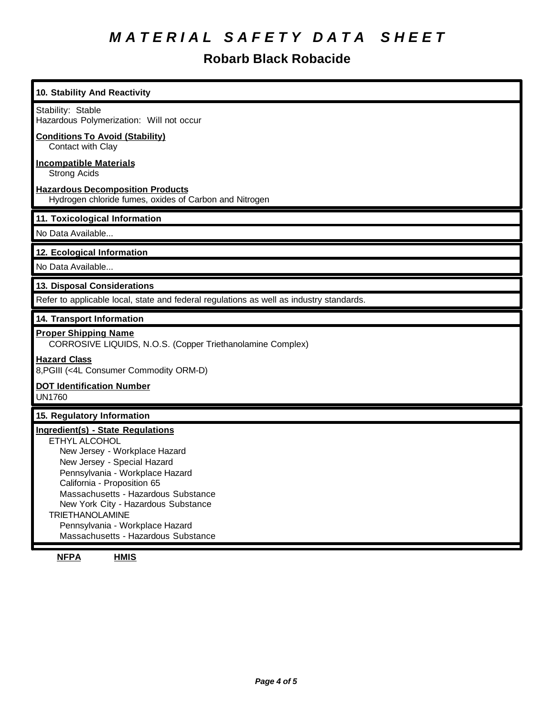## **Robarb Black Robacide**

| 10. Stability And Reactivity                                                                                                                                                                                                                                                                                                                                                  |
|-------------------------------------------------------------------------------------------------------------------------------------------------------------------------------------------------------------------------------------------------------------------------------------------------------------------------------------------------------------------------------|
| Stability: Stable<br>Hazardous Polymerization: Will not occur                                                                                                                                                                                                                                                                                                                 |
| <b>Conditions To Avoid (Stability)</b><br>Contact with Clay                                                                                                                                                                                                                                                                                                                   |
| <b>Incompatible Materials</b><br><b>Strong Acids</b>                                                                                                                                                                                                                                                                                                                          |
| <b>Hazardous Decomposition Products</b><br>Hydrogen chloride fumes, oxides of Carbon and Nitrogen                                                                                                                                                                                                                                                                             |
| 11. Toxicological Information                                                                                                                                                                                                                                                                                                                                                 |
| No Data Available                                                                                                                                                                                                                                                                                                                                                             |
| 12. Ecological Information                                                                                                                                                                                                                                                                                                                                                    |
| No Data Available                                                                                                                                                                                                                                                                                                                                                             |
| 13. Disposal Considerations                                                                                                                                                                                                                                                                                                                                                   |
| Refer to applicable local, state and federal regulations as well as industry standards.                                                                                                                                                                                                                                                                                       |
| 14. Transport Information                                                                                                                                                                                                                                                                                                                                                     |
| <b>Proper Shipping Name</b><br>CORROSIVE LIQUIDS, N.O.S. (Copper Triethanolamine Complex)                                                                                                                                                                                                                                                                                     |
| <b>Hazard Class</b><br>8, PGIII (<4L Consumer Commodity ORM-D)                                                                                                                                                                                                                                                                                                                |
| <b>DOT Identification Number</b><br><b>UN1760</b>                                                                                                                                                                                                                                                                                                                             |
| 15. Regulatory Information                                                                                                                                                                                                                                                                                                                                                    |
| <b>Ingredient(s) - State Regulations</b><br>ETHYL ALCOHOL<br>New Jersey - Workplace Hazard<br>New Jersey - Special Hazard<br>Pennsylvania - Workplace Hazard<br>California - Proposition 65<br>Massachusetts - Hazardous Substance<br>New York City - Hazardous Substance<br><b>TRIETHANOLAMINE</b><br>Pennsylvania - Workplace Hazard<br>Massachusetts - Hazardous Substance |

**NFPA HMIS**